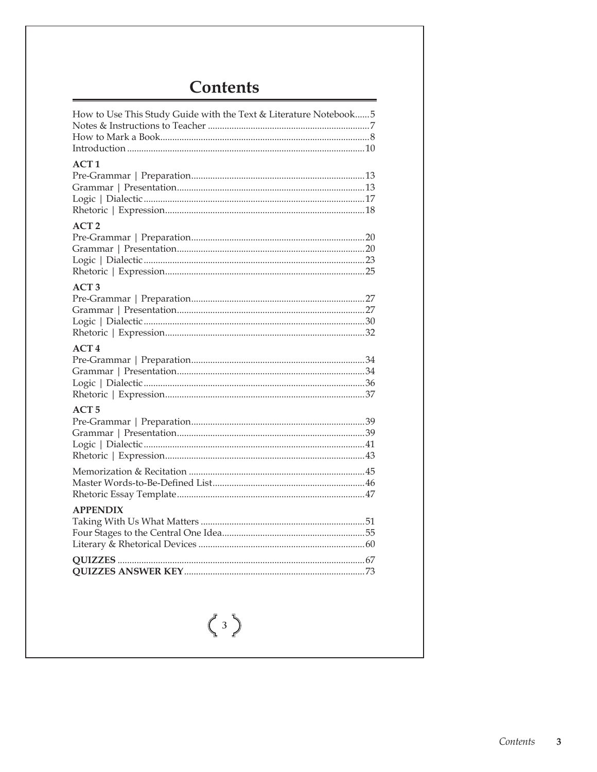# **Contents**

| How to Use This Study Guide with the Text & Literature Notebook 5 |
|-------------------------------------------------------------------|
| ACT1                                                              |
| ACT <sub>2</sub>                                                  |
| ACT <sub>3</sub>                                                  |
| ACT <sub>4</sub>                                                  |
| ACT <sub>5</sub>                                                  |
|                                                                   |
| <b>APPENDIX</b>                                                   |
|                                                                   |

 $\begin{pmatrix} 3 \end{pmatrix}$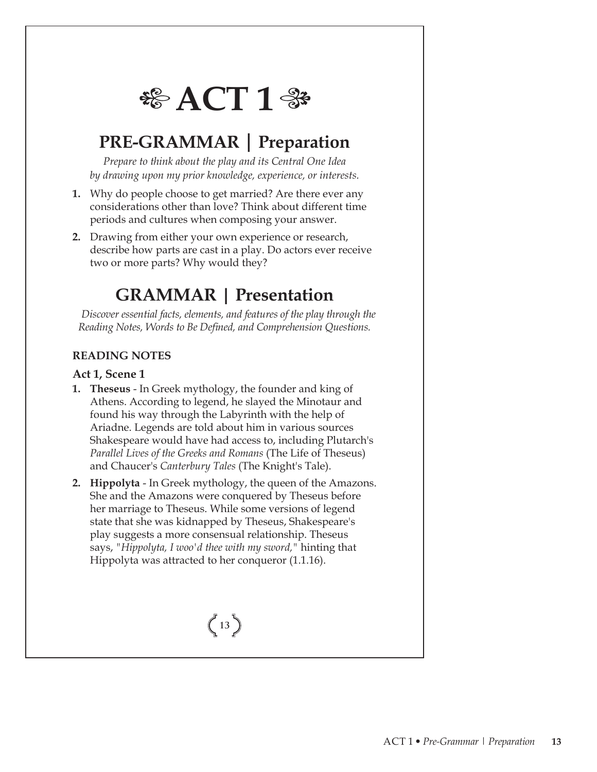

## **PRE-GRAMMAR | Preparation**

*Prepare to think about the play and its Central One Idea by drawing upon my prior knowledge, experience, or interests.*

- **1.** Why do people choose to get married? Are there ever any considerations other than love? Think about different time periods and cultures when composing your answer.
- **2.** Drawing from either your own experience or research, describe how parts are cast in a play. Do actors ever receive two or more parts? Why would they?

# **GRAMMAR | Presentation**

 *Discover essential facts, elements, and features of the play through the*  Reading Notes, Words to Be Defined, and Comprehension Questions.

#### **READING NOTES**

#### **Act 1, Scene 1**

- **1. Theseus** In Greek mythology, the founder and king of Athens. According to legend, he slayed the Minotaur and found his way through the Labyrinth with the help of Ariadne. Legends are told about him in various sources Shakespeare would have had access to, including Plutarch's *Parallel Lives of the Greeks and Romans* (The Life of Theseus) and Chaucer's *Canterbury Tales* (The Knight's Tale).
- **2. Hippolyta**  In Greek mythology, the queen of the Amazons. She and the Amazons were conquered by Theseus before her marriage to Theseus. While some versions of legend state that she was kidnapped by Theseus, Shakespeare's play suggests a more consensual relationship. Theseus says, *"Hippolyta, I woo'd thee with my sword,"* hinting that Hippolyta was attracted to her conqueror (1.1.16).

# $\binom{13}{ }$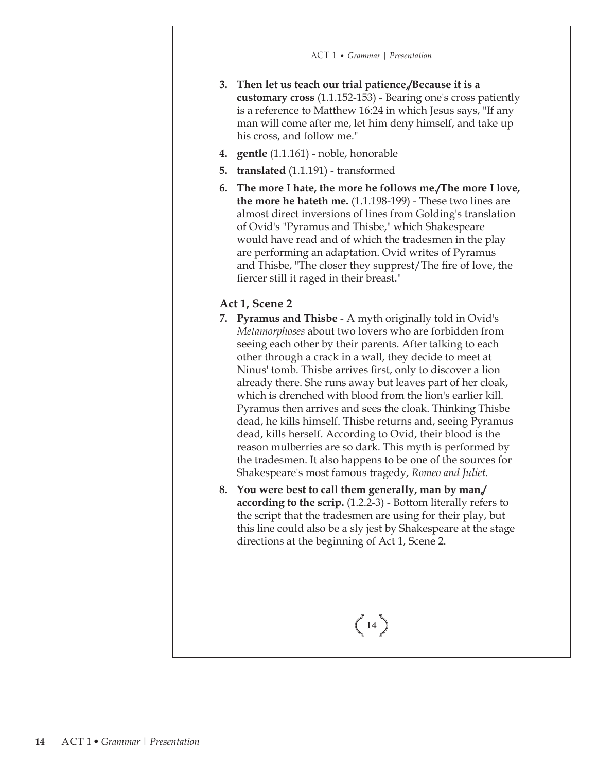- **3. Then let us teach our trial patience,/Because it is a customary cross** (1.1.152-153) - Bearing one's cross patiently is a reference to Matthew 16:24 in which Jesus says, "If any man will come after me, let him deny himself, and take up his cross, and follow me."
- **4. gentle** (1.1.161) noble, honorable
- **5. translated** (1.1.191) transformed
- **6. The more I hate, the more he follows me./The more I love, the more he hateth me.** (1.1.198-199) - These two lines are almost direct inversions of lines from Golding's translation of Ovid's "Pyramus and Thisbe," which Shakespeare would have read and of which the tradesmen in the play are performing an adaptation. Ovid writes of Pyramus and Thisbe, "The closer they supprest/The fire of love, the fiercer still it raged in their breast."

#### **Act 1, Scene 2**

- **7. Pyramus and Thisbe**  A myth originally told in Ovid's *Metamorphoses* about two lovers who are forbidden from seeing each other by their parents. After talking to each other through a crack in a wall, they decide to meet at Ninus' tomb. Thisbe arrives first, only to discover a lion already there. She runs away but leaves part of her cloak, which is drenched with blood from the lion's earlier kill. Pyramus then arrives and sees the cloak. Thinking Thisbe dead, he kills himself. Thisbe returns and, seeing Pyramus dead, kills herself. According to Ovid, their blood is the reason mulberries are so dark. This myth is performed by the tradesmen. It also happens to be one of the sources for Shakespeare's most famous tragedy, *Romeo and Juliet*.
- **8. You were best to call them generally, man by man,/ according to the scrip.** (1.2.2-3) - Bottom literally refers to the script that the tradesmen are using for their play, but this line could also be a sly jest by Shakespeare at the stage directions at the beginning of Act 1, Scene 2.

 $\binom{14}{$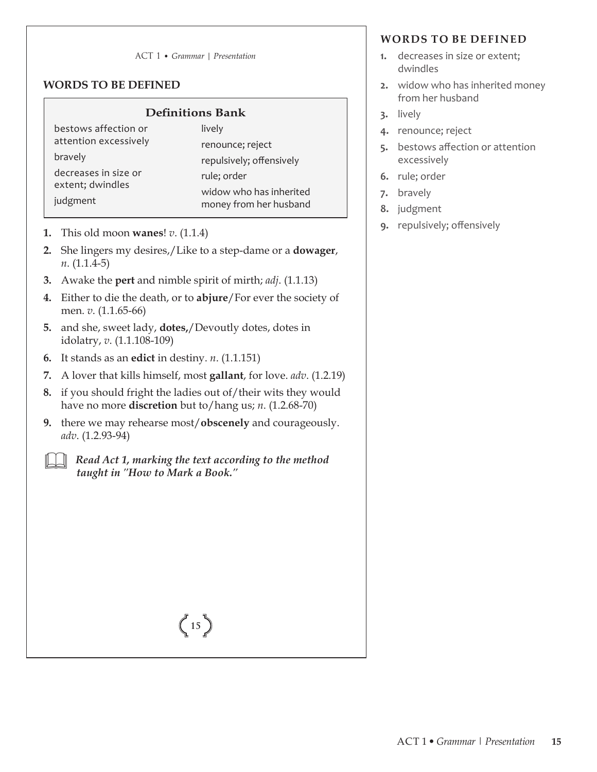#### ACT 1 • *Grammar | Presentation*

#### **WORDS TO BE DEFINED**

#### **Definitions Bank**

bestows affection or attention excessively bravely decreases in size or extent; dwindles judgment

lively renounce; reject repulsively; offensively rule; order widow who has inherited money from her husband

- **1.** This old moon **wanes**! *v*. (1.1.4)
- **2.** She lingers my desires,/Like to a step-dame or a **dowager**, *n*. (1.1.4-5)
- **3.** Awake the **pert** and nimble spirit of mirth; *adj*. (1.1.13)
- **4.** Either to die the death, or to **abjure**/For ever the society of men. *v*. (1.1.65-66)
- **5.** and she, sweet lady, **dotes,**/Devoutly dotes, dotes in idolatry, *v*. (1.1.108-109)
- **6.** It stands as an **edict** in destiny. *n*. (1.1.151)
- **7.** A lover that kills himself, most **gallant**, for love. *adv*. (1.2.19)
- **8.** if you should fright the ladies out of/their wits they would have no more **discretion** but to/hang us; *n*. (1.2.68-70)
- **9.** there we may rehearse most/**obscenely** and courageously. *adv*. (1.2.93-94)

 *Read Act 1, marking the text according to the method taught in "How to Mark a Book."*

**WORDS TO BE DEFINED 1.** decreases in size or extent;

- dwindles
- **2.** widow who has inherited money from her husband
- **3.** lively
- **4.** renounce; reject
- **5.** bestows affection or attention excessively
- **6.** rule; order
- **7.** bravely
- **8.** judgment
- **9.** repulsively; offensively

# $\binom{15}{ }$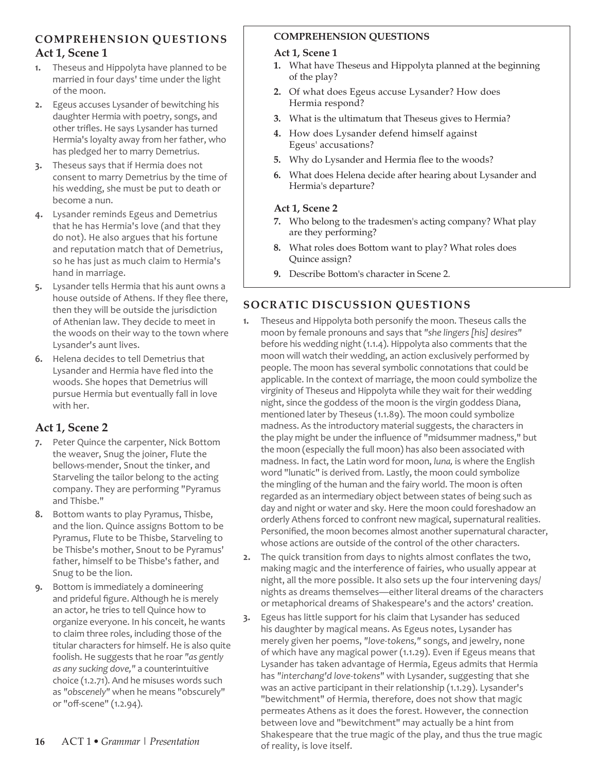#### **COMPREHENSION QUESTIONS Act 1, Scene 1**

- **1.** Theseus and Hippolyta have planned to be married in four days' time under the light of the moon.
- **2.** Egeus accuses Lysander of bewitching his daughter Hermia with poetry, songs, and other trifles. He says Lysander has turned Hermia's loyalty away from her father, who has pledged her to marry Demetrius.
- **3.** Theseus says that if Hermia does not consent to marry Demetrius by the time of his wedding, she must be put to death or become a nun.
- **4.** Lysander reminds Egeus and Demetrius that he has Hermia's love (and that they do not). He also argues that his fortune and reputation match that of Demetrius, so he has just as much claim to Hermia's hand in marriage.
- **5.** Lysander tells Hermia that his aunt owns a house outside of Athens. If they flee there, then they will be outside the jurisdiction of Athenian law. They decide to meet in the woods on their way to the town where Lysander's aunt lives.
- **6.** Helena decides to tell Demetrius that Lysander and Hermia have fled into the woods. She hopes that Demetrius will pursue Hermia but eventually fall in love with her.

#### **Act 1, Scene 2**

- **7.** Peter Quince the carpenter, Nick Bottom the weaver, Snug the joiner, Flute the bellows-mender, Snout the tinker, and Starveling the tailor belong to the acting company. They are performing "Pyramus and Thisbe."
- **8.** Bottom wants to play Pyramus, Thisbe, and the lion. Quince assigns Bottom to be Pyramus, Flute to be Thisbe, Starveling to be Thisbe's mother, Snout to be Pyramus' father, himself to be Thisbe's father, and Snug to be the lion.
- **9.** Bottom is immediately a domineering and prideful figure. Although he is merely an actor, he tries to tell Quince how to organize everyone. In his conceit, he wants to claim three roles, including those of the titular characters for himself. He is also quite foolish. He suggests that he roar *"as gently as any sucking dove,"* a counterintuitive choice (1.2.71). And he misuses words such as *"obscenely"* when he means "obscurely" or "off-scene" (1.2.94).

#### **COMPREHENSION QUESTIONS**

#### **Act 1, Scene 1**

- **1.** What have Theseus and Hippolyta planned at the beginning of the play?
- **2.** Of what does Egeus accuse Lysander? How does Hermia respond?
- **3.** What is the ultimatum that Theseus gives to Hermia?
- **4.** How does Lysander defend himself against Egeus' accusations?
- **5.** Why do Lysander and Hermia flee to the woods?
- **6.** What does Helena decide after hearing about Lysander and Hermia's departure?

#### **Act 1, Scene 2**

- **7.** Who belong to the tradesmen's acting company? What play are they performing?
- **8.** What roles does Bottom want to play? What roles does Quince assign?
- **9.** Describe Bottom's character in Scene 2.

### **SOCRATIC DISCUSSION QUESTIONS**

- **1.** Theseus and Hippolyta both personify the moon. Theseus calls the moon by female pronouns and says that *"she lingers [his] desires"* before his wedding night (1.1.4). Hippolyta also comments that the moon will watch their wedding, an action exclusively performed by people. The moon has several symbolic connotations that could be applicable. In the context of marriage, the moon could symbolize the virginity of Theseus and Hippolyta while they wait for their wedding night, since the goddess of the moon is the virgin goddess Diana, mentioned later by Theseus (1.1.89). The moon could symbolize madness. As the introductory material suggests, the characters in the play might be under the influence of "midsummer madness," but the moon (especially the full moon) has also been associated with madness. In fact, the Latin word for moon, *luna,* is where the English word "lunatic" is derived from. Lastly, the moon could symbolize the mingling of the human and the fairy world. The moon is often regarded as an intermediary object between states of being such as day and night or water and sky. Here the moon could foreshadow an **16** orderly Athens forced to confront new magical, supernatural realities. Personified, the moon becomes almost another supernatural character, whose actions are outside of the control of the other characters.
- **2.** The quick transition from days to nights almost conflates the two, making magic and the interference of fairies, who usually appear at night, all the more possible. It also sets up the four intervening days/ nights as dreams themselves—either literal dreams of the characters or metaphorical dreams of Shakespeare's and the actors' creation.
- **3.** Egeus has little support for his claim that Lysander has seduced his daughter by magical means. As Egeus notes, Lysander has merely given her poems, *"love-tokens,"* songs, and jewelry, none of which have any magical power (1.1.29). Even if Egeus means that Lysander has taken advantage of Hermia, Egeus admits that Hermia has *"interchang'd love-tokens"* with Lysander, suggesting that she was an active participant in their relationship (1.1.29). Lysander's "bewitchment" of Hermia, therefore, does not show that magic permeates Athens as it does the forest. However, the connection between love and "bewitchment" may actually be a hint from Shakespeare that the true magic of the play, and thus the true magic of reality, is love itself.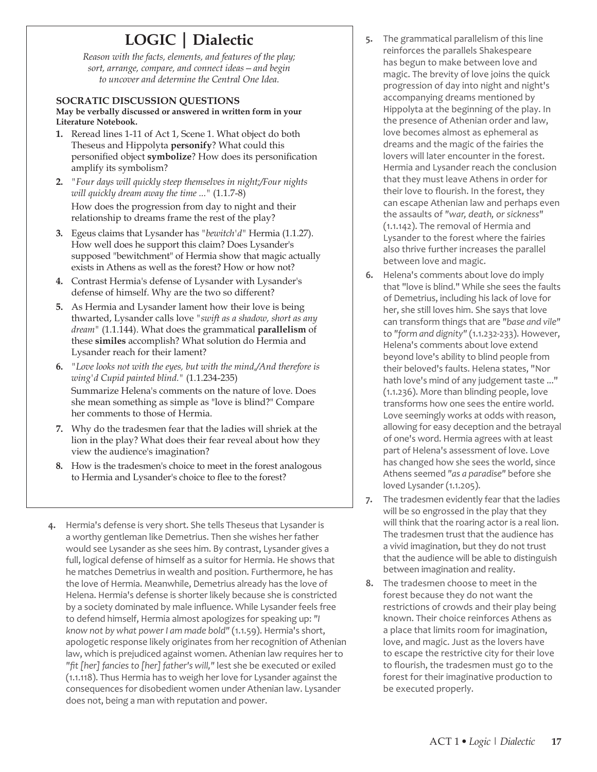### **LOGIC | Dialectic**

*Reason with the facts, elements, and features of the play; sort, arrange, compare, and connect ideas—and begin to uncover and determine the Central One Idea.*

#### **SOCRATIC DISCUSSION QUESTIONS**

**May be verbally discussed or answered in written form in your Literature Notebook.**

- **1.** Reread lines 1-11 of Act 1, Scene 1. What object do both Theseus and Hippolyta **personify**? What could this personified object **symbolize**? How does its personification amplify its symbolism?
- **2.** *"Four days will quickly steep themselves in night;/Four nights will quickly dream away the time ..."* (1.1.7-8) How does the progression from day to night and their relationship to dreams frame the rest of the play?
- **3.** Egeus claims that Lysander has *"bewitch'd"* Hermia (1.1.27). How well does he support this claim? Does Lysander's supposed "bewitchment" of Hermia show that magic actually exists in Athens as well as the forest? How or how not?
- **4.** Contrast Hermia's defense of Lysander with Lysander's defense of himself. Why are the two so different?
- **5.** As Hermia and Lysander lament how their love is being thwarted, Lysander calls love *"swift as a shadow, short as any dream"* (1.1.144). What does the grammatical **parallelism** of these **similes** accomplish? What solution do Hermia and Lysander reach for their lament?
- **6.** *"Love looks not with the eyes, but with the mind,/And therefore is wing'd Cupid painted blind."* (1.1.234-235) Summarize Helena's comments on the nature of love. Does she mean something as simple as "love is blind?" Compare her comments to those of Hermia.
- **7.** Why do the tradesmen fear that the ladies will shriek at the lion in the play? What does their fear reveal about how they view the audience's imagination?
- **8.** How is the tradesmen's choice to meet in the forest analogous to Hermia and Lysander's choice to flee to the forest?
- **4.** Hermia's defense is very short. She tells Theseus that Lysander is a worthy gentleman like Demetrius. Then she wishes her father would see Lysander as she sees him. By contrast, Lysander gives a full, logical defense of himself as a suitor for Hermia. He shows that he matches Demetrius in wealth and position. Furthermore, he has the love of Hermia. Meanwhile, Demetrius already has the love of Helena. Hermia's defense is shorter likely because she is constricted by a society dominated by male influence. While Lysander feels free to defend himself, Hermia almost apologizes for speaking up: *"I know not by what power I am made bold"* (1.1.59). Hermia's short, apologetic response likely originates from her recognition of Athenian law, which is prejudiced against women. Athenian law requires her to *"fit [her] fancies to [her] father's will,"* lest she be executed or exiled (1.1.118). Thus Hermia has to weigh her love for Lysander against the consequences for disobedient women under Athenian law. Lysander does not, being a man with reputation and power.
- **5.** The grammatical parallelism of this line reinforces the parallels Shakespeare has begun to make between love and magic. The brevity of love joins the quick progression of day into night and night's accompanying dreams mentioned by Hippolyta at the beginning of the play. In the presence of Athenian order and law, love becomes almost as ephemeral as dreams and the magic of the fairies the lovers will later encounter in the forest. Hermia and Lysander reach the conclusion that they must leave Athens in order for their love to flourish. In the forest, they can escape Athenian law and perhaps even the assaults of *"war, death, or sickness"* (1.1.142). The removal of Hermia and Lysander to the forest where the fairies also thrive further increases the parallel between love and magic.
- **6.** Helena's comments about love do imply that "love is blind." While she sees the faults of Demetrius, including his lack of love for her, she still loves him. She says that love can transform things that are *"base and vile"* to *"form and dignity"* (1.1.232-233). However, Helena's comments about love extend beyond love's ability to blind people from their beloved's faults. Helena states, "Nor hath love's mind of any judgement taste ..." (1.1.236). More than blinding people, love transforms how one sees the entire world. Love seemingly works at odds with reason, allowing for easy deception and the betrayal of one's word. Hermia agrees with at least part of Helena's assessment of love. Love has changed how she sees the world, since Athens seemed *"as a paradise"* before she loved Lysander (1.1.205).
- **7.** The tradesmen evidently fear that the ladies will be so engrossed in the play that they will think that the roaring actor is a real lion. The tradesmen trust that the audience has a vivid imagination, but they do not trust that the audience will be able to distinguish between imagination and reality.
- **8.** The tradesmen choose to meet in the forest because they do not want the restrictions of crowds and their play being known. Their choice reinforces Athens as a place that limits room for imagination, love, and magic. Just as the lovers have to escape the restrictive city for their love to flourish, the tradesmen must go to the forest for their imaginative production to be executed properly.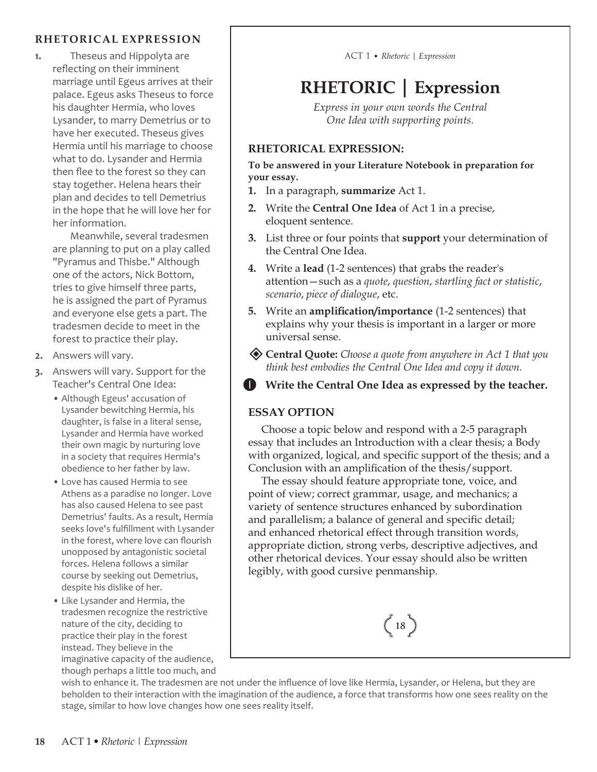#### **RHETORICAL EXPRESSION**

**1.** Theseus and Hippolyta are reflecting on their imminent marriage until Egeus arrives at their palace. Egeus asks Theseus to force his daughter Hermia, who loves Lysander, to marry Demetrius or to have her executed. Theseus gives Hermia until his marriage to choose what to do. Lysander and Hermia then flee to the forest so they can stay together. Helena hears their plan and decides to tell Demetrius in the hope that he will love her for her information.

Meanwhile, several tradesmen are planning to put on a play called "Pyramus and Thisbe." Although one of the actors, Nick Bottom, tries to give himself three parts, he is assigned the part of Pyramus and everyone else gets a part. The tradesmen decide to meet in the forest to practice their play.

- **2.** Answers will vary.
- **3.** Answers will vary. Support for the Teacher's Central One Idea:
	- Although Egeus' accusation of Lysander bewitching Hermia, his daughter, is false in a literal sense, Lysander and Hermia have worked their own magic by nurturing love in a society that requires Hermia's obedience to her father by law.
	- Love has caused Hermia to see Athens as a paradise no longer. Love has also caused Helena to see past Demetrius' faults. As a result, Hermia seeks love's fulfillment with Lysander in the forest, where love can flourish unopposed by antagonistic societal forces. Helena follows a similar course by seeking out Demetrius, despite his dislike of her.
	- Like Lysander and Hermia, the tradesmen recognize the restrictive nature of the city, deciding to practice their play in the forest instead. They believe in the imaginative capacity of the audience, though perhaps a little too much, and

ACT 1 • *Rhetoric | Expression*

# **RHETORIC | Expression**

*Express in your own words the Central One Idea with supporting points.*

#### **RHETORICAL EXPRESSION:**

**To be answered in your Literature Notebook in preparation for your essay.**

- **1.** In a paragraph, **summarize** Act 1.
- **2.** Write the **Central One Idea** of Act 1 in a precise, eloquent sentence.
- **3.** List three or four points that **support** your determination of the Central One Idea.
- **4.** Write a **lead** (1-2 sentences) that grabs the reader's attention—such as a *quote*, *question*, *startling fact or statistic*, *scenario*, *piece of dialogue*, etc.
- **5.** Write an **amplification/importance** (1-2 sentences) that explains why your thesis is important in a larger or more universal sense.
- **Central Quote:** *Choose a quote from anywhere in Act 1 that you think best embodies the Central One Idea and copy it down.*
- **I** Write the Central One Idea as expressed by the teacher.

#### **ESSAY OPTION**

Choose a topic below and respond with a 2-5 paragraph essay that includes an Introduction with a clear thesis; a Body with organized, logical, and specific support of the thesis; and a Conclusion with an amplification of the thesis/support.

The essay should feature appropriate tone, voice, and point of view; correct grammar, usage, and mechanics; a variety of sentence structures enhanced by subordination and parallelism; a balance of general and specific detail; and enhanced rhetorical effect through transition words, appropriate diction, strong verbs, descriptive adjectives, and other rhetorical devices. Your essay should also be written legibly, with good cursive penmanship.



wish to enhance it. The tradesmen are not under the influence of love like Hermia, Lysander, or Helena, but they are beholden to their interaction with the imagination of the audience, a force that transforms how one sees reality on the stage, similar to how love changes how one sees reality itself.